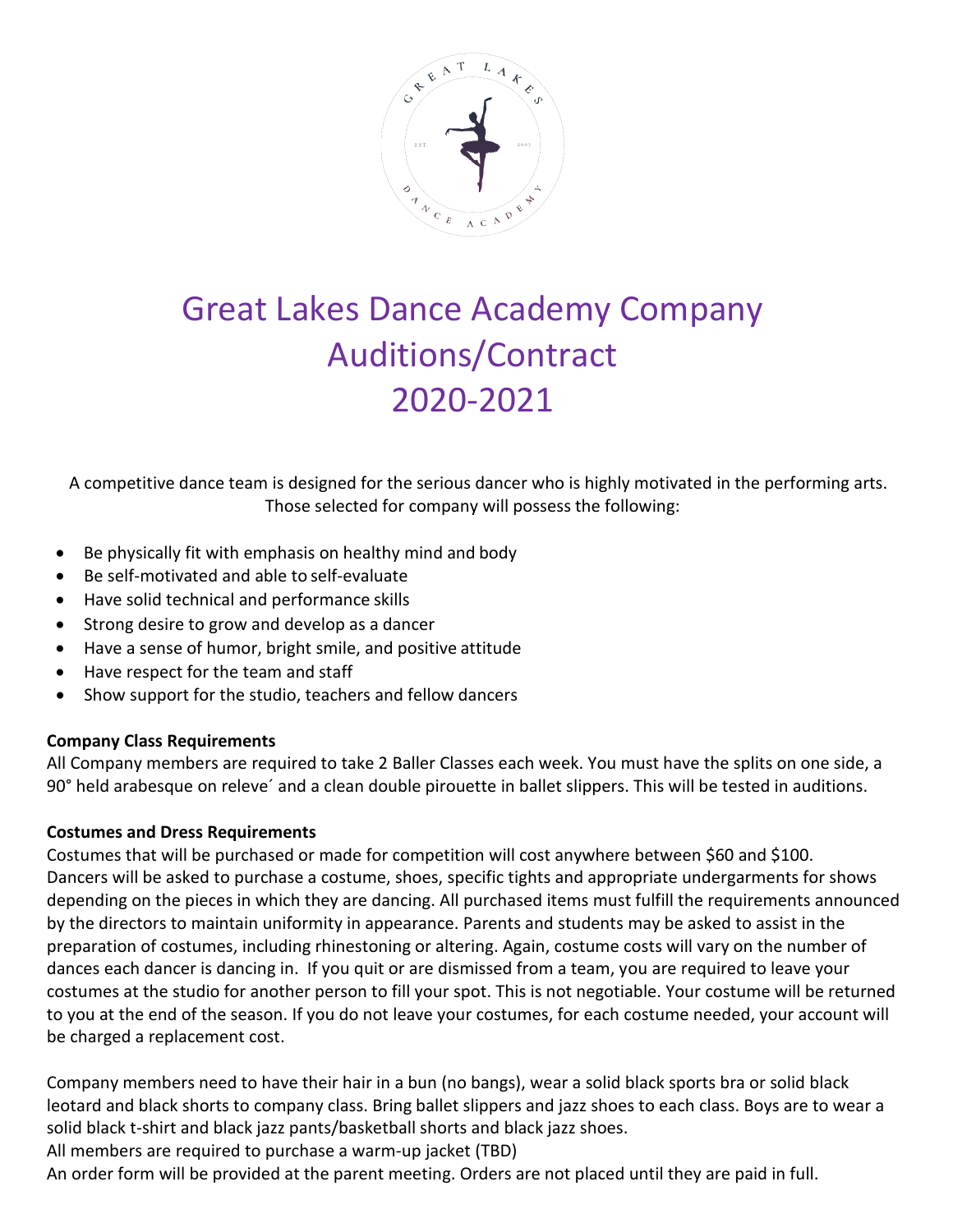

# Great Lakes Dance Academy Company Auditions/Contract 2020-2021

A competitive dance team is designed for the serious dancer who is highly motivated in the performing arts. Those selected for company will possess the following:

- Be physically fit with emphasis on healthy mind and body
- Be self‐motivated and able to self‐evaluate
- Have solid technical and performance skills
- Strong desire to grow and develop as a dancer
- Have a sense of humor, bright smile, and positive attitude
- Have respect for the team and staff
- Show support for the studio, teachers and fellow dancers

# **Company Class Requirements**

All Company members are required to take 2 Baller Classes each week. You must have the splits on one side, a 90° held arabesque on releve´ and a clean double pirouette in ballet slippers. This will be tested in auditions.

# **Costumes and Dress Requirements**

Costumes that will be purchased or made for competition will cost anywhere between \$60 and \$100. Dancers will be asked to purchase a costume, shoes, specific tights and appropriate undergarments for shows depending on the pieces in which they are dancing. All purchased items must fulfill the requirements announced by the directors to maintain uniformity in appearance. Parents and students may be asked to assist in the preparation of costumes, including rhinestoning or altering. Again, costume costs will vary on the number of dances each dancer is dancing in. If you quit or are dismissed from a team, you are required to leave your costumes at the studio for another person to fill your spot. This is not negotiable. Your costume will be returned to you at the end of the season. If you do not leave your costumes, for each costume needed, your account will be charged a replacement cost.

Company members need to have their hair in a bun (no bangs), wear a solid black sports bra or solid black leotard and black shorts to company class. Bring ballet slippers and jazz shoes to each class. Boys are to wear a solid black t-shirt and black jazz pants/basketball shorts and black jazz shoes.

All members are required to purchase a warm-up jacket (TBD)

An order form will be provided at the parent meeting. Orders are not placed until they are paid in full.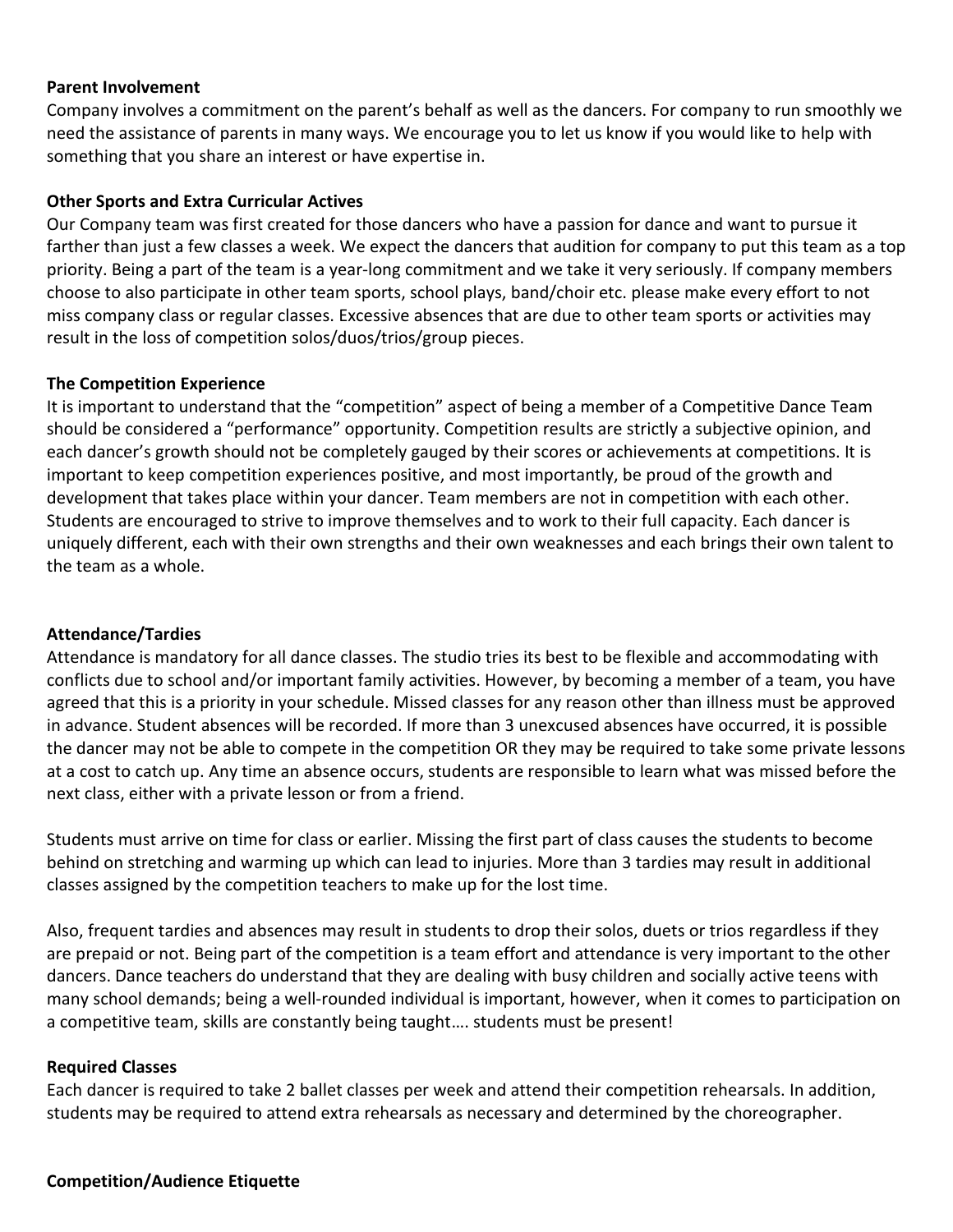#### **Parent Involvement**

Company involves a commitment on the parent's behalf as well as the dancers. For company to run smoothly we need the assistance of parents in many ways. We encourage you to let us know if you would like to help with something that you share an interest or have expertise in.

### **Other Sports and Extra Curricular Actives**

Our Company team was first created for those dancers who have a passion for dance and want to pursue it farther than just a few classes a week. We expect the dancers that audition for company to put this team as a top priority. Being a part of the team is a year-long commitment and we take it very seriously. If company members choose to also participate in other team sports, school plays, band/choir etc. please make every effort to not miss company class or regular classes. Excessive absences that are due to other team sports or activities may result in the loss of competition solos/duos/trios/group pieces.

## **The Competition Experience**

It is important to understand that the "competition" aspect of being a member of a Competitive Dance Team should be considered a "performance" opportunity. Competition results are strictly a subjective opinion, and each dancer's growth should not be completely gauged by their scores or achievements at competitions. It is important to keep competition experiences positive, and most importantly, be proud of the growth and development that takes place within your dancer. Team members are not in competition with each other. Students are encouraged to strive to improve themselves and to work to their full capacity. Each dancer is uniquely different, each with their own strengths and their own weaknesses and each brings their own talent to the team as a whole.

#### **Attendance/Tardies**

Attendance is mandatory for all dance classes. The studio tries its best to be flexible and accommodating with conflicts due to school and/or important family activities. However, by becoming a member of a team, you have agreed that this is a priority in your schedule. Missed classes for any reason other than illness must be approved in advance. Student absences will be recorded. If more than 3 unexcused absences have occurred, it is possible the dancer may not be able to compete in the competition OR they may be required to take some private lessons at a cost to catch up. Any time an absence occurs, students are responsible to learn what was missed before the next class, either with a private lesson or from a friend.

Students must arrive on time for class or earlier. Missing the first part of class causes the students to become behind on stretching and warming up which can lead to injuries. More than 3 tardies may result in additional classes assigned by the competition teachers to make up for the lost time.

Also, frequent tardies and absences may result in students to drop their solos, duets or trios regardless if they are prepaid or not. Being part of the competition is a team effort and attendance is very important to the other dancers. Dance teachers do understand that they are dealing with busy children and socially active teens with many school demands; being a well‐rounded individual is important, however, when it comes to participation on a competitive team, skills are constantly being taught…. students must be present!

#### **Required Classes**

Each dancer is required to take 2 ballet classes per week and attend their competition rehearsals. In addition, students may be required to attend extra rehearsals as necessary and determined by the choreographer.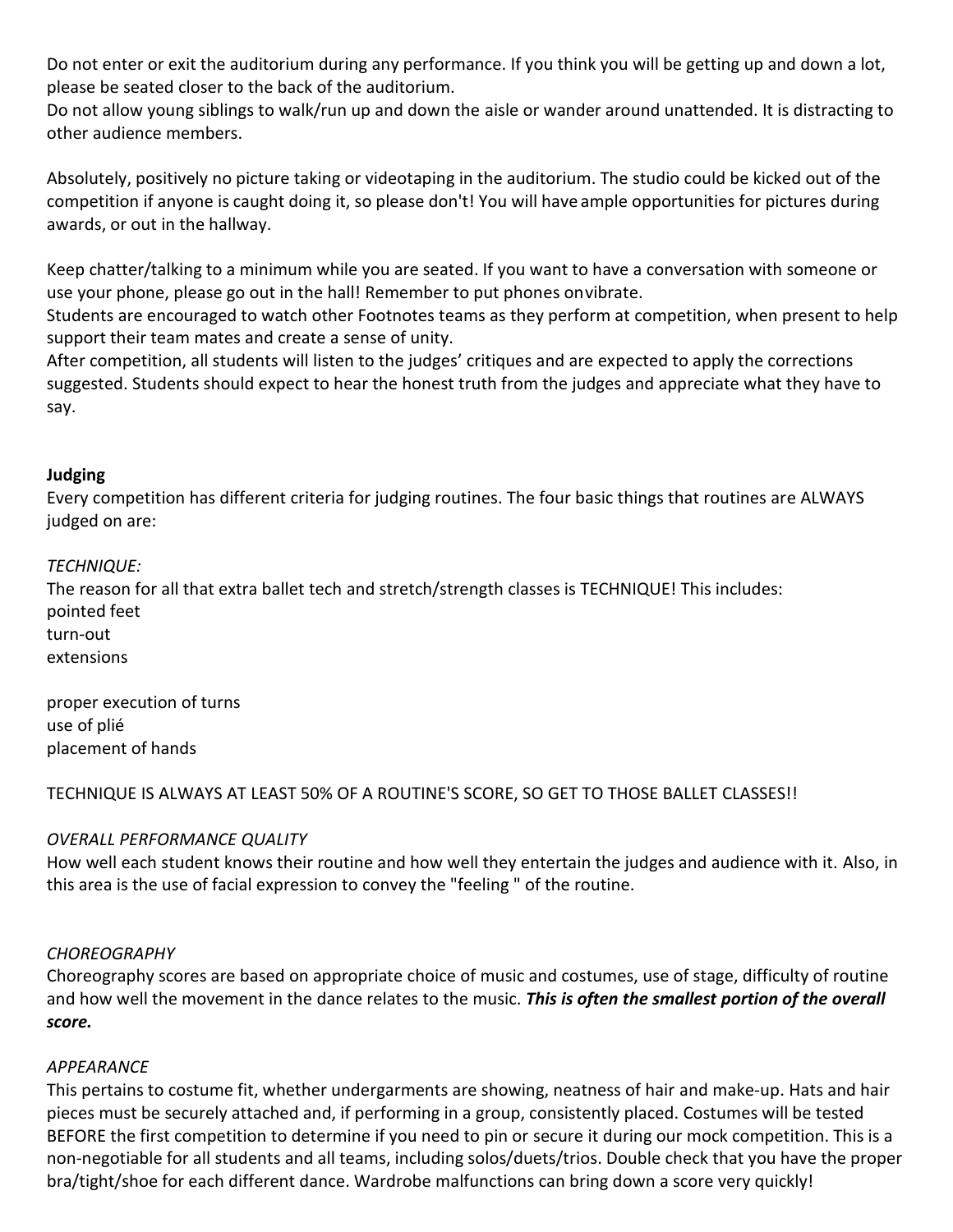Do not enter or exit the auditorium during any performance. If you think you will be getting up and down a lot, please be seated closer to the back of the auditorium.

Do not allow young siblings to walk/run up and down the aisle or wander around unattended. It is distracting to other audience members.

Absolutely, positively no picture taking or videotaping in the auditorium. The studio could be kicked out of the competition if anyone is caught doing it, so please don't! You will have ample opportunities for pictures during awards, or out in the hallway.

Keep chatter/talking to a minimum while you are seated. If you want to have a conversation with someone or use your phone, please go out in the hall! Remember to put phones onvibrate.

Students are encouraged to watch other Footnotes teams as they perform at competition, when present to help support their team mates and create a sense of unity.

After competition, all students will listen to the judges' critiques and are expected to apply the corrections suggested. Students should expect to hear the honest truth from the judges and appreciate what they have to say.

# **Judging**

Every competition has different criteria for judging routines. The four basic things that routines are ALWAYS judged on are:

#### *TECHNIQUE:*

The reason for all that extra ballet tech and stretch/strength classes is TECHNIQUE! This includes: pointed feet turn‐out extensions

proper execution of turns use of plié placement of hands

# TECHNIQUE IS ALWAYS AT LEAST 50% OF A ROUTINE'S SCORE, SO GET TO THOSE BALLET CLASSES!!

# *OVERALL PERFORMANCE QUALITY*

How well each student knows their routine and how well they entertain the judges and audience with it. Also, in this area is the use of facial expression to convey the "feeling " of the routine.

# *CHOREOGRAPHY*

Choreography scores are based on appropriate choice of music and costumes, use of stage, difficulty of routine and how well the movement in the dance relates to the music. *This is often the smallest portion of the overall score.*

#### *APPEARANCE*

This pertains to costume fit, whether undergarments are showing, neatness of hair and make‐up. Hats and hair pieces must be securely attached and, if performing in a group, consistently placed. Costumes will be tested BEFORE the first competition to determine if you need to pin or secure it during our mock competition. This is a non‐negotiable for all students and all teams, including solos/duets/trios. Double check that you have the proper bra/tight/shoe for each different dance. Wardrobe malfunctions can bring down a score very quickly!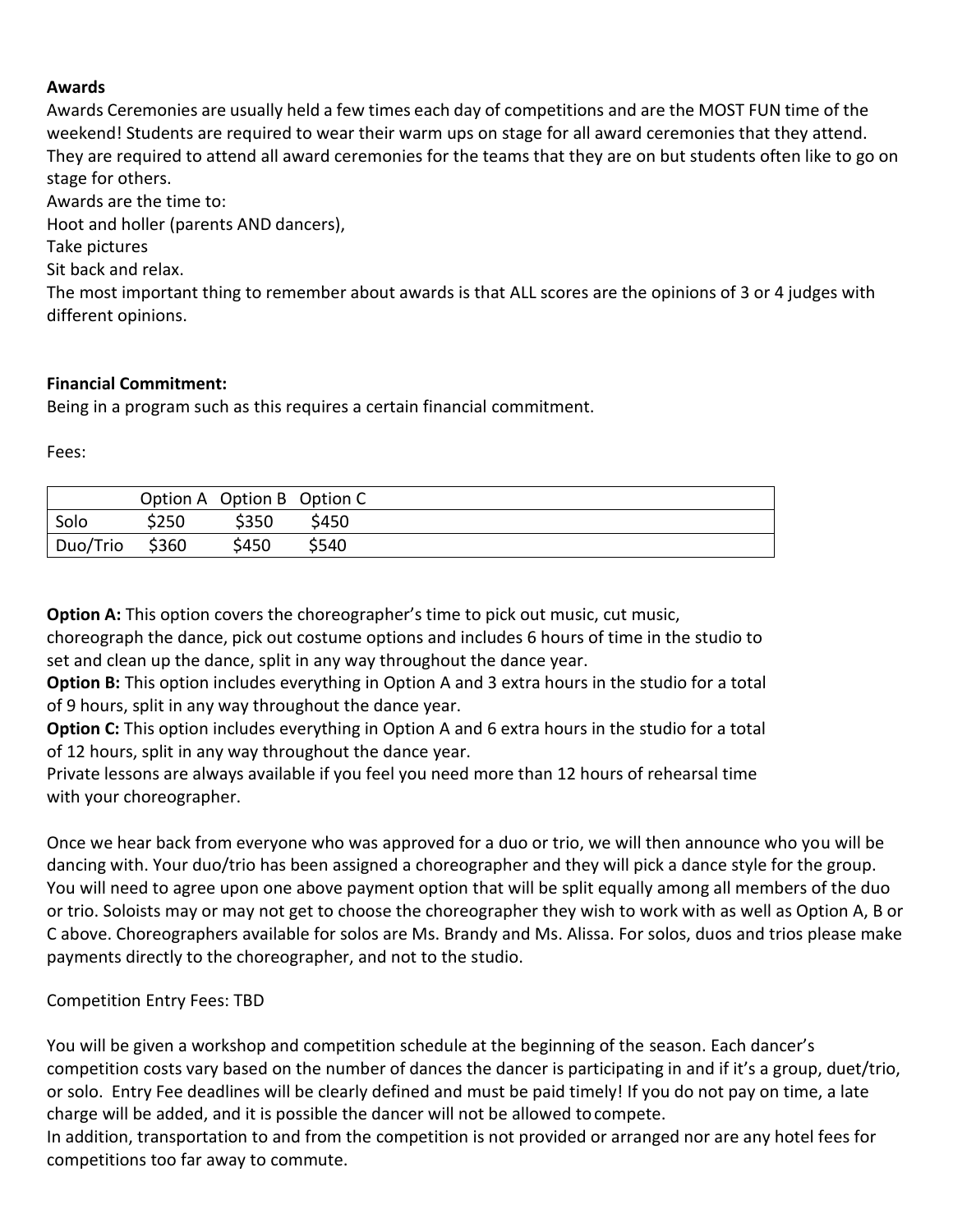## **Awards**

Awards Ceremonies are usually held a few times each day of competitions and are the MOST FUN time of the weekend! Students are required to wear their warm ups on stage for all award ceremonies that they attend. They are required to attend all award ceremonies for the teams that they are on but students often like to go on stage for others.

Awards are the time to:

Hoot and holler (parents AND dancers),

Take pictures

Sit back and relax.

The most important thing to remember about awards is that ALL scores are the opinions of 3 or 4 judges with different opinions.

## **Financial Commitment:**

Being in a program such as this requires a certain financial commitment.

Fees:

|          |       |       | Option A Option B Option C |
|----------|-------|-------|----------------------------|
| Solo     | \$250 | \$350 | \$450                      |
| Duo/Trio | \$360 | \$450 | \$540                      |

**Option A:** This option covers the choreographer's time to pick out music, cut music,

choreograph the dance, pick out costume options and includes 6 hours of time in the studio to set and clean up the dance, split in any way throughout the dance year.

**Option B:** This option includes everything in Option A and 3 extra hours in the studio for a total of 9 hours, split in any way throughout the dance year.

**Option C:** This option includes everything in Option A and 6 extra hours in the studio for a total of 12 hours, split in any way throughout the dance year.

Private lessons are always available if you feel you need more than 12 hours of rehearsal time with your choreographer.

Once we hear back from everyone who was approved for a duo or trio, we will then announce who you will be dancing with. Your duo/trio has been assigned a choreographer and they will pick a dance style for the group. You will need to agree upon one above payment option that will be split equally among all members of the duo or trio. Soloists may or may not get to choose the choreographer they wish to work with as well as Option A, B or C above. Choreographers available for solos are Ms. Brandy and Ms. Alissa. For solos, duos and trios please make payments directly to the choreographer, and not to the studio.

Competition Entry Fees: TBD

You will be given a workshop and competition schedule at the beginning of the season. Each dancer's competition costs vary based on the number of dances the dancer is participating in and if it's a group, duet/trio, or solo. Entry Fee deadlines will be clearly defined and must be paid timely! If you do not pay on time, a late charge will be added, and it is possible the dancer will not be allowed tocompete.

In addition, transportation to and from the competition is not provided or arranged nor are any hotel fees for competitions too far away to commute.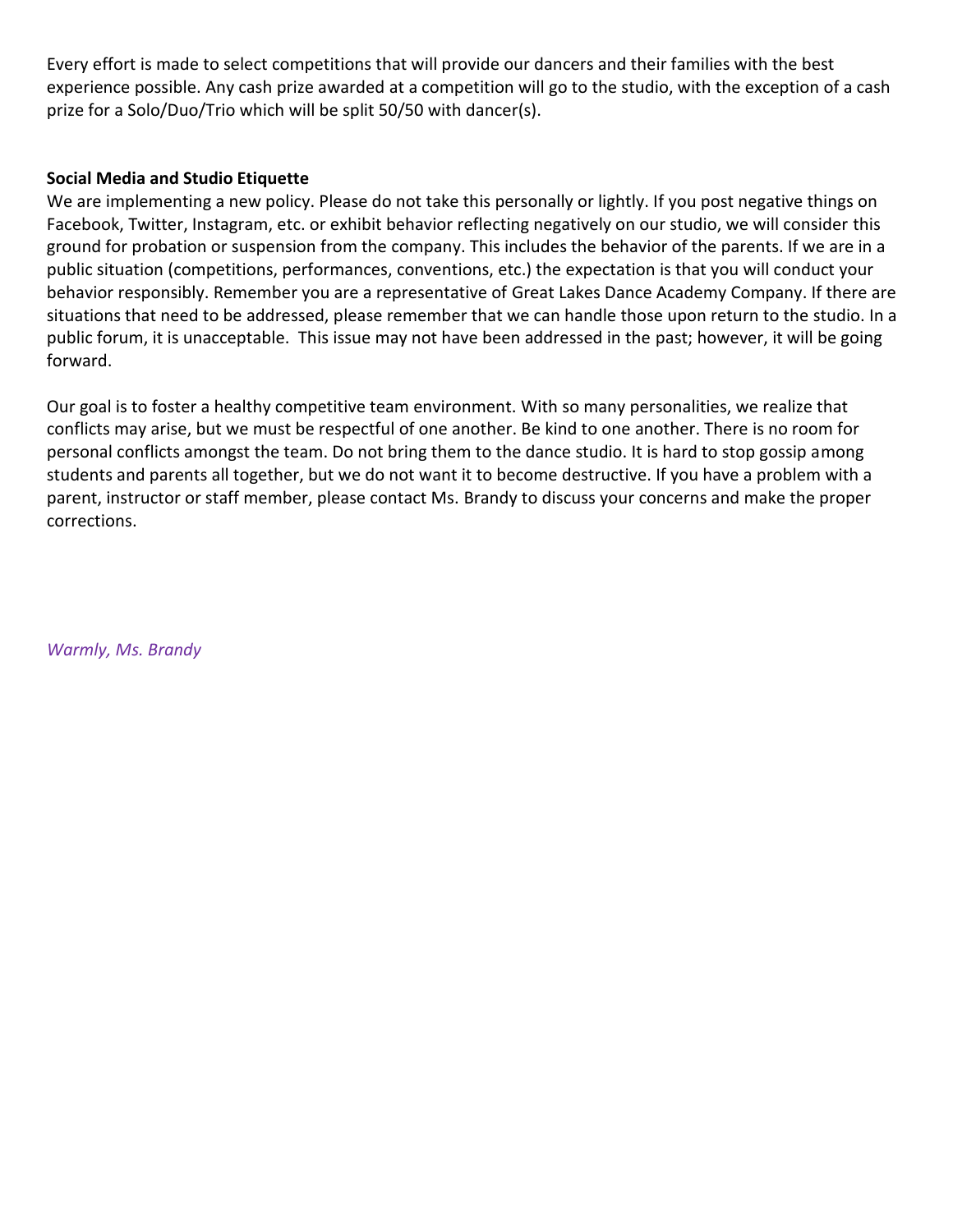Every effort is made to select competitions that will provide our dancers and their families with the best experience possible. Any cash prize awarded at a competition will go to the studio, with the exception of a cash prize for a Solo/Duo/Trio which will be split 50/50 with dancer(s).

## **Social Media and Studio Etiquette**

We are implementing a new policy. Please do not take this personally or lightly. If you post negative things on Facebook, Twitter, Instagram, etc. or exhibit behavior reflecting negatively on our studio, we will consider this ground for probation or suspension from the company. This includes the behavior of the parents. If we are in a public situation (competitions, performances, conventions, etc.) the expectation is that you will conduct your behavior responsibly. Remember you are a representative of Great Lakes Dance Academy Company. If there are situations that need to be addressed, please remember that we can handle those upon return to the studio. In a public forum, it is unacceptable. This issue may not have been addressed in the past; however, it will be going forward.

Our goal is to foster a healthy competitive team environment. With so many personalities, we realize that conflicts may arise, but we must be respectful of one another. Be kind to one another. There is no room for personal conflicts amongst the team. Do not bring them to the dance studio. It is hard to stop gossip among students and parents all together, but we do not want it to become destructive. If you have a problem with a parent, instructor or staff member, please contact Ms. Brandy to discuss your concerns and make the proper corrections.

*Warmly, Ms. Brandy*